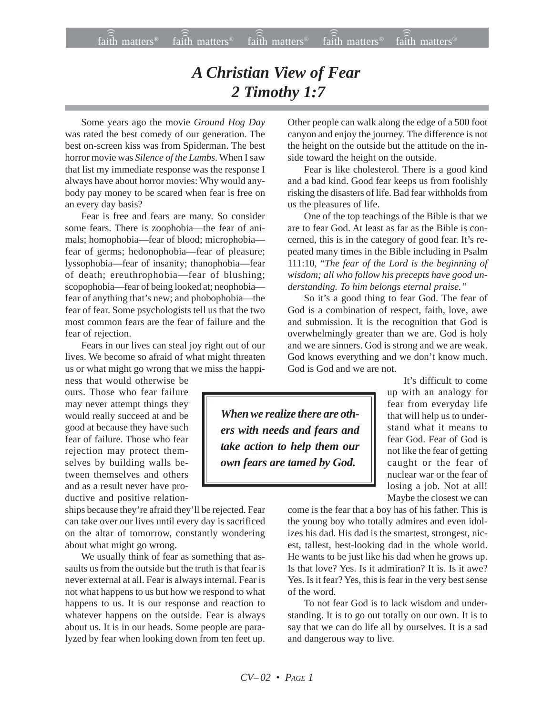## *A Christian View of Fear 2 Timothy 1:7*

Some years ago the movie *Ground Hog Day* was rated the best comedy of our generation. The best on-screen kiss was from Spiderman. The best horror movie was *Silence of the Lambs*. When I saw that list my immediate response was the response I always have about horror movies: Why would anybody pay money to be scared when fear is free on an every day basis?

Fear is free and fears are many. So consider some fears. There is zoophobia—the fear of animals; homophobia—fear of blood; microphobia fear of germs; hedonophobia—fear of pleasure; lyssophobia—fear of insanity; thanophobia—fear of death; ereuthrophobia—fear of blushing; scopophobia—fear of being looked at; neophobia fear of anything that's new; and phobophobia—the fear of fear. Some psychologists tell us that the two most common fears are the fear of failure and the fear of rejection.

Fears in our lives can steal joy right out of our lives. We become so afraid of what might threaten us or what might go wrong that we miss the happi-

ness that would otherwise be ours. Those who fear failure may never attempt things they would really succeed at and be good at because they have such fear of failure. Those who fear rejection may protect themselves by building walls between themselves and others and as a result never have productive and positive relation-

ships because they're afraid they'll be rejected. Fear can take over our lives until every day is sacrificed on the altar of tomorrow, constantly wondering about what might go wrong.

We usually think of fear as something that assaults us from the outside but the truth is that fear is never external at all. Fear is always internal. Fear is not what happens to us but how we respond to what happens to us. It is our response and reaction to whatever happens on the outside. Fear is always about us. It is in our heads. Some people are paralyzed by fear when looking down from ten feet up. Other people can walk along the edge of a 500 foot canyon and enjoy the journey. The difference is not the height on the outside but the attitude on the inside toward the height on the outside.

Fear is like cholesterol. There is a good kind and a bad kind. Good fear keeps us from foolishly risking the disasters of life. Bad fear withholds from us the pleasures of life.

One of the top teachings of the Bible is that we are to fear God. At least as far as the Bible is concerned, this is in the category of good fear. It's repeated many times in the Bible including in Psalm 111:10, "*The fear of the Lord is the beginning of wisdom; all who follow his precepts have good understanding. To him belongs eternal praise."*

So it's a good thing to fear God. The fear of God is a combination of respect, faith, love, awe and submission. It is the recognition that God is overwhelmingly greater than we are. God is holy and we are sinners. God is strong and we are weak. God knows everything and we don't know much. God is God and we are not.

*When we realize there are others with needs and fears and take action to help them our own fears are tamed by God.*

It's difficult to come up with an analogy for fear from everyday life that will help us to understand what it means to fear God. Fear of God is not like the fear of getting caught or the fear of nuclear war or the fear of losing a job. Not at all! Maybe the closest we can

come is the fear that a boy has of his father. This is the young boy who totally admires and even idolizes his dad. His dad is the smartest, strongest, nicest, tallest, best-looking dad in the whole world. He wants to be just like his dad when he grows up. Is that love? Yes. Is it admiration? It is. Is it awe? Yes. Is it fear? Yes, this is fear in the very best sense of the word.

To not fear God is to lack wisdom and understanding. It is to go out totally on our own. It is to say that we can do life all by ourselves. It is a sad and dangerous way to live.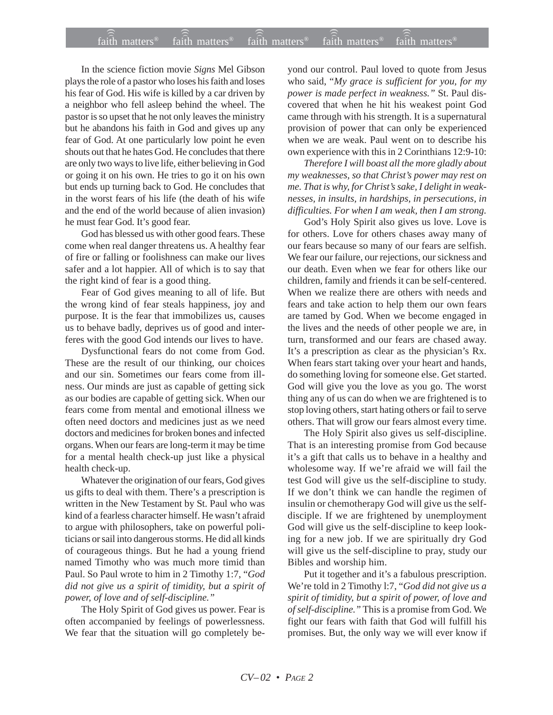In the science fiction movie *Signs* Mel Gibson plays the role of a pastor who loses his faith and loses his fear of God. His wife is killed by a car driven by a neighbor who fell asleep behind the wheel. The pastor is so upset that he not only leaves the ministry but he abandons his faith in God and gives up any fear of God. At one particularly low point he even shouts out that he hates God. He concludes that there are only two ways to live life, either believing in God or going it on his own. He tries to go it on his own but ends up turning back to God. He concludes that in the worst fears of his life (the death of his wife and the end of the world because of alien invasion) he must fear God. It's good fear.

God has blessed us with other good fears. These come when real danger threatens us. A healthy fear of fire or falling or foolishness can make our lives safer and a lot happier. All of which is to say that the right kind of fear is a good thing.

Fear of God gives meaning to all of life. But the wrong kind of fear steals happiness, joy and purpose. It is the fear that immobilizes us, causes us to behave badly, deprives us of good and interferes with the good God intends our lives to have.

Dysfunctional fears do not come from God. These are the result of our thinking, our choices and our sin. Sometimes our fears come from illness. Our minds are just as capable of getting sick as our bodies are capable of getting sick. When our fears come from mental and emotional illness we often need doctors and medicines just as we need doctors and medicines for broken bones and infected organs. When our fears are long-term it may be time for a mental health check-up just like a physical health check-up.

Whatever the origination of our fears, God gives us gifts to deal with them. There's a prescription is written in the New Testament by St. Paul who was kind of a fearless character himself. He wasn't afraid to argue with philosophers, take on powerful politicians or sail into dangerous storms. He did all kinds of courageous things. But he had a young friend named Timothy who was much more timid than Paul. So Paul wrote to him in 2 Timothy 1:7, "*God did not give us a spirit of timidity, but a spirit of power, of love and of self-discipline."*

The Holy Spirit of God gives us power. Fear is often accompanied by feelings of powerlessness. We fear that the situation will go completely beyond our control. Paul loved to quote from Jesus who said, "*My grace is sufficient for you, for my power is made perfect in weakness."* St. Paul discovered that when he hit his weakest point God came through with his strength. It is a supernatural provision of power that can only be experienced when we are weak. Paul went on to describe his own experience with this in 2 Corinthians 12:9-10:

*Therefore I will boast all the more gladly about my weaknesses, so that Christ's power may rest on me. That is why, for Christ's sake, I delight in weaknesses, in insults, in hardships, in persecutions, in difficulties. For when I am weak, then I am strong.*

God's Holy Spirit also gives us love. Love is for others. Love for others chases away many of our fears because so many of our fears are selfish. We fear our failure, our rejections, our sickness and our death. Even when we fear for others like our children, family and friends it can be self-centered. When we realize there are others with needs and fears and take action to help them our own fears are tamed by God. When we become engaged in the lives and the needs of other people we are, in turn, transformed and our fears are chased away. It's a prescription as clear as the physician's Rx. When fears start taking over your heart and hands, do something loving for someone else. Get started. God will give you the love as you go. The worst thing any of us can do when we are frightened is to stop loving others, start hating others or fail to serve others. That will grow our fears almost every time.

The Holy Spirit also gives us self-discipline. That is an interesting promise from God because it's a gift that calls us to behave in a healthy and wholesome way. If we're afraid we will fail the test God will give us the self-discipline to study. If we don't think we can handle the regimen of insulin or chemotherapy God will give us the selfdisciple. If we are frightened by unemployment God will give us the self-discipline to keep looking for a new job. If we are spiritually dry God will give us the self-discipline to pray, study our Bibles and worship him.

Put it together and it's a fabulous prescription. We're told in 2 Timothy l:7, "*God did not give us a spirit of timidity, but a spirit of power, of love and of self-discipline."* This is a promise from God. We fight our fears with faith that God will fulfill his promises. But, the only way we will ever know if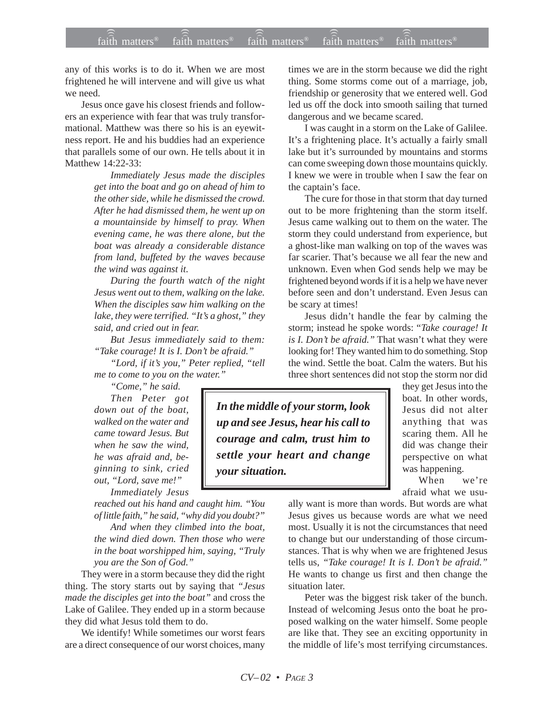any of this works is to do it. When we are most frightened he will intervene and will give us what we need.

Jesus once gave his closest friends and followers an experience with fear that was truly transformational. Matthew was there so his is an eyewitness report. He and his buddies had an experience that parallels some of our own. He tells about it in Matthew 14:22-33:

> *Immediately Jesus made the disciples get into the boat and go on ahead of him to the other side, while he dismissed the crowd. After he had dismissed them, he went up on a mountainside by himself to pray. When evening came, he was there alone, but the boat was already a considerable distance from land, buffeted by the waves because the wind was against it.*

> *During the fourth watch of the night Jesus went out to them, walking on the lake. When the disciples saw him walking on the lake, they were terrified. "It's a ghost," they said, and cried out in fear.*

> *But Jesus immediately said to them: "Take courage! It is I. Don't be afraid."*

> *"Lord, if it's you," Peter replied, "tell me to come to you on the water."*

*"Come," he said. Then Peter got down out of the boat, walked on the water and came toward Jesus. But when he saw the wind, he was afraid and, beginning to sink, cried out, "Lord, save me!"*

*Immediately Jesus*

*reached out his hand and caught him. "You of little faith," he said, "why did you doubt?" And when they climbed into the boat,*

*the wind died down. Then those who were in the boat worshipped him, saying, "Truly you are the Son of God."*

They were in a storm because they did the right thing. The story starts out by saying that *"Jesus made the disciples get into the boat"* and cross the Lake of Galilee. They ended up in a storm because they did what Jesus told them to do.

We identify! While sometimes our worst fears are a direct consequence of our worst choices, many times we are in the storm because we did the right thing. Some storms come out of a marriage, job, friendship or generosity that we entered well. God led us off the dock into smooth sailing that turned dangerous and we became scared.

I was caught in a storm on the Lake of Galilee. It's a frightening place. It's actually a fairly small lake but it's surrounded by mountains and storms can come sweeping down those mountains quickly. I knew we were in trouble when I saw the fear on the captain's face.

The cure for those in that storm that day turned out to be more frightening than the storm itself. Jesus came walking out to them on the water. The storm they could understand from experience, but a ghost-like man walking on top of the waves was far scarier. That's because we all fear the new and unknown. Even when God sends help we may be frightened beyond words if it is a help we have never before seen and don't understand. Even Jesus can be scary at times!

Jesus didn't handle the fear by calming the storm; instead he spoke words: "*Take courage! It is I. Don't be afraid."* That wasn't what they were looking for! They wanted him to do something. Stop the wind. Settle the boat. Calm the waters. But his three short sentences did not stop the storm nor did

*In the middle of your storm, look up and see Jesus, hear his call to courage and calm, trust him to settle your heart and change your situation.*

they get Jesus into the boat. In other words, Jesus did not alter anything that was scaring them. All he did was change their perspective on what was happening.

When we're afraid what we usu-

ally want is more than words. But words are what Jesus gives us because words are what we need most. Usually it is not the circumstances that need to change but our understanding of those circumstances. That is why when we are frightened Jesus tells us, *"Take courage! It is I. Don't be afraid."* He wants to change us first and then change the situation later.

Peter was the biggest risk taker of the bunch. Instead of welcoming Jesus onto the boat he proposed walking on the water himself. Some people are like that. They see an exciting opportunity in the middle of life's most terrifying circumstances.